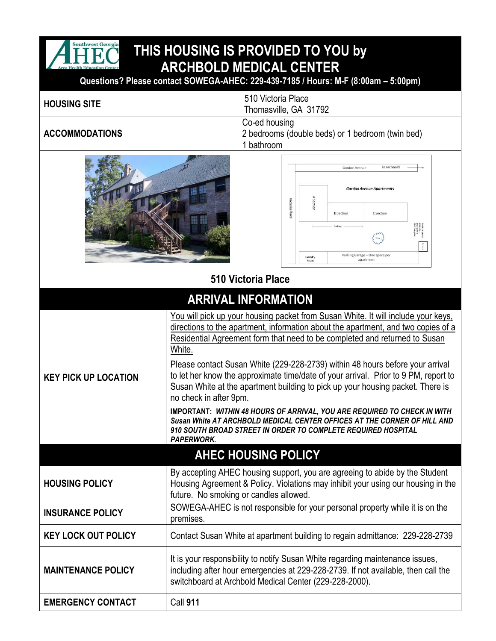

## **THIS HOUSING IS PROVIDED TO YOU by ARCHBOLD MEDICAL CENTER**

**Questions? Please contact SOWEGA-AHEC: 229-439-7185 / Hours: M-F (8:00am – 5:00pm)**

| <b><i>CONTRACTOR</i></b> |                                                                   |
|--------------------------|-------------------------------------------------------------------|
|                          | bathroom                                                          |
| <b>ACCOMMODATIONS</b>    | Co-ed housing<br>2 bedrooms (double beds) or 1 bedroom (twin bed) |
| <b>HOUSING SITE</b>      | 510 Victoria Place<br>Thomasville, GA 31792                       |





**510 Victoria Place**

| <b>ARRIVAL INFORMATION</b>  |                                                                                                                                                                                                                                                                                  |  |
|-----------------------------|----------------------------------------------------------------------------------------------------------------------------------------------------------------------------------------------------------------------------------------------------------------------------------|--|
|                             | <u>You will pick up your housing packet from Susan White. It will include your keys,</u><br>directions to the apartment, information about the apartment, and two copies of a<br>Residential Agreement form that need to be completed and returned to Susan<br>White.            |  |
| <b>KEY PICK UP LOCATION</b> | Please contact Susan White (229-228-2739) within 48 hours before your arrival<br>to let her know the approximate time/date of your arrival. Prior to 9 PM, report to<br>Susan White at the apartment building to pick up your housing packet. There is<br>no check in after 9pm. |  |
|                             | <b>IMPORTANT: WITHIN 48 HOURS OF ARRIVAL, YOU ARE REQUIRED TO CHECK IN WITH</b><br>Susan White AT ARCHBOLD MEDICAL CENTER OFFICES AT THE CORNER OF HILL AND<br>910 SOUTH BROAD STREET IN ORDER TO COMPLETE REQUIRED HOSPITAL<br><b>PAPERWORK.</b>                                |  |
| <b>AHEC HOUSING POLICY</b>  |                                                                                                                                                                                                                                                                                  |  |
| <b>HOUSING POLICY</b>       | By accepting AHEC housing support, you are agreeing to abide by the Student<br>Housing Agreement & Policy. Violations may inhibit your using our housing in the<br>future. No smoking or candles allowed.                                                                        |  |
| <b>INSURANCE POLICY</b>     | SOWEGA-AHEC is not responsible for your personal property while it is on the<br>premises.                                                                                                                                                                                        |  |
| <b>KEY LOCK OUT POLICY</b>  | Contact Susan White at apartment building to regain admittance: 229-228-2739                                                                                                                                                                                                     |  |
| <b>MAINTENANCE POLICY</b>   | It is your responsibility to notify Susan White regarding maintenance issues,<br>including after hour emergencies at 229-228-2739. If not available, then call the<br>switchboard at Archbold Medical Center (229-228-2000).                                                     |  |
| <b>EMERGENCY CONTACT</b>    | <b>Call 911</b>                                                                                                                                                                                                                                                                  |  |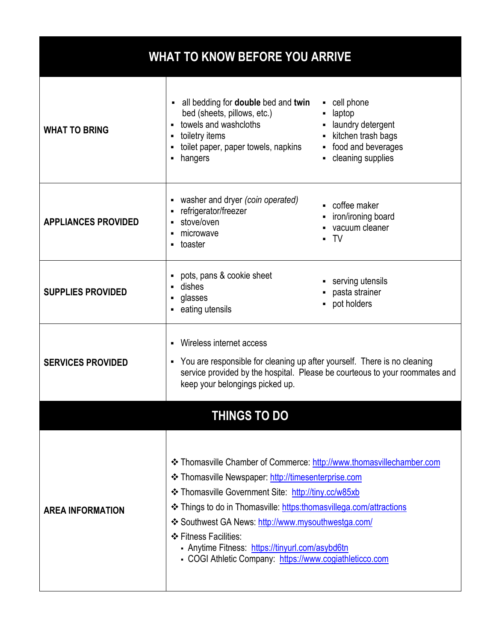| <b>WHAT TO KNOW BEFORE YOU ARRIVE</b>                                                                                                                                                                                                                                                                                                                                                                                                                                                   |                                                                                                                                                                                                                                                            |                                                                                                                        |
|-----------------------------------------------------------------------------------------------------------------------------------------------------------------------------------------------------------------------------------------------------------------------------------------------------------------------------------------------------------------------------------------------------------------------------------------------------------------------------------------|------------------------------------------------------------------------------------------------------------------------------------------------------------------------------------------------------------------------------------------------------------|------------------------------------------------------------------------------------------------------------------------|
| <b>WHAT TO BRING</b>                                                                                                                                                                                                                                                                                                                                                                                                                                                                    | all bedding for <b>double</b> bed and twin<br>٠<br>bed (sheets, pillows, etc.)<br>towels and washcloths<br>toiletry items<br>٠<br>toilet paper, paper towels, napkins<br>hangers<br>$\blacksquare$                                                         | - cell phone<br>- laptop<br>• laundry detergent<br>- kitchen trash bags<br>• food and beverages<br>- cleaning supplies |
| <b>APPLIANCES PROVIDED</b>                                                                                                                                                                                                                                                                                                                                                                                                                                                              | washer and dryer (coin operated)<br>٠<br>refrigerator/freezer<br>$\blacksquare$<br>stove/oven<br>microwave<br>٠<br>toaster<br>$\blacksquare$                                                                                                               | • coffee maker<br>• iron/ironing board<br>vacuum cleaner<br>$\blacksquare$ TV                                          |
| <b>SUPPLIES PROVIDED</b>                                                                                                                                                                                                                                                                                                                                                                                                                                                                | pots, pans & cookie sheet<br>٠<br>dishes<br>$\blacksquare$<br>glasses<br>$\blacksquare$<br>eating utensils                                                                                                                                                 | • serving utensils<br>pasta strainer<br>pot holders                                                                    |
| <b>SERVICES PROVIDED</b>                                                                                                                                                                                                                                                                                                                                                                                                                                                                | Wireless internet access<br>$\blacksquare$<br>You are responsible for cleaning up after yourself. There is no cleaning<br>$\blacksquare$<br>service provided by the hospital. Please be courteous to your roommates and<br>keep your belongings picked up. |                                                                                                                        |
| <b>THINGS TO DO</b>                                                                                                                                                                                                                                                                                                                                                                                                                                                                     |                                                                                                                                                                                                                                                            |                                                                                                                        |
| <b>❖ Thomasville Chamber of Commerce: http://www.thomasvillechamber.com</b><br>❖ Thomasville Newspaper: http://timesenterprise.com<br>❖ Thomasville Government Site: http://tiny.cc/w85xb<br>❖ Things to do in Thomasville: https:thomasvillega.com/attractions<br><b>AREA INFORMATION</b><br>❖ Southwest GA News: http://www.mysouthwestga.com/<br>❖ Fitness Facilities:<br>- Anytime Fitness: https://tinyurl.com/asybd6tn<br>- COGI Athletic Company: https://www.cogiathleticco.com |                                                                                                                                                                                                                                                            |                                                                                                                        |